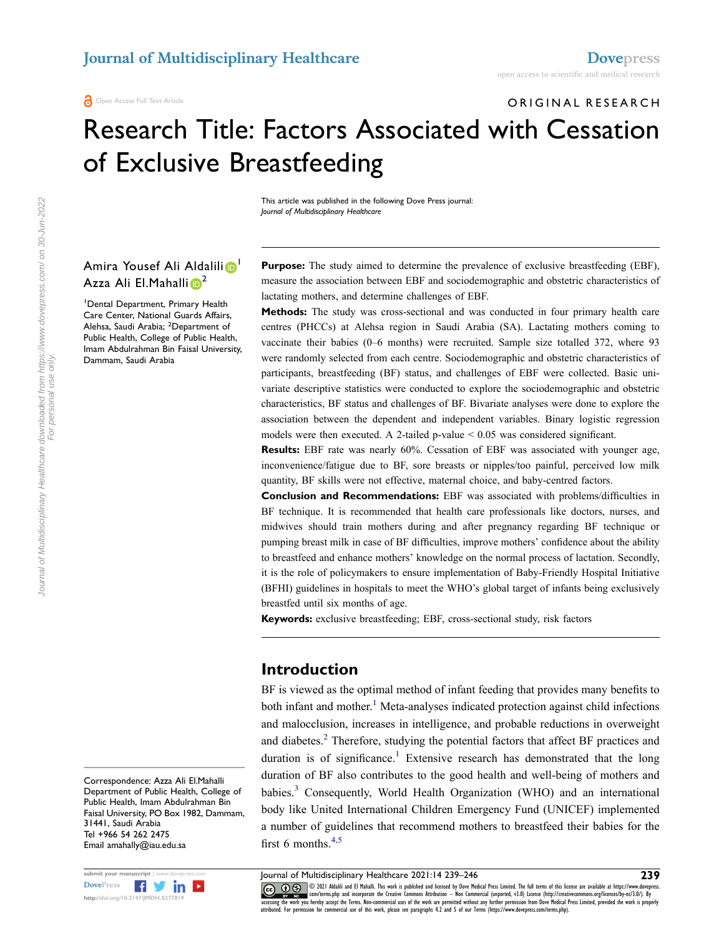ORIGINAL RESEARCH

# Research Title: Factors Associated with Cessation of Exclusive Breastfeeding

This article was published in the following Dove Press journal: *Journal of Multidisciplinary Healthcare*

#### Amira Yousef Ali Aldalili <sup>1</sup> Azza Ali El.Mahalli <sup>[2](#page-0-1)</sup>

<span id="page-0-1"></span><span id="page-0-0"></span>1 Dental Department, Primary Health Care Center, National Guards Affairs, Alehsa, Saudi Arabia; <sup>2</sup>Department of Public Health, College of Public Health, Imam Abdulrahman Bin Faisal University, Dammam, Saudi Arabia

Purpose: The study aimed to determine the prevalence of exclusive breastfeeding (EBF), measure the association between EBF and sociodemographic and obstetric characteristics of lactating mothers, and determine challenges of EBF.

**Methods:** The study was cross-sectional and was conducted in four primary health care centres (PHCCs) at Alehsa region in Saudi Arabia (SA). Lactating mothers coming to vaccinate their babies (0–6 months) were recruited. Sample size totalled 372, where 93 were randomly selected from each centre. Sociodemographic and obstetric characteristics of participants, breastfeeding (BF) status, and challenges of EBF were collected. Basic univariate descriptive statistics were conducted to explore the sociodemographic and obstetric characteristics, BF status and challenges of BF. Bivariate analyses were done to explore the association between the dependent and independent variables. Binary logistic regression models were then executed. A 2-tailed p-value < 0.05 was considered significant.

**Results:** EBF rate was nearly 60%. Cessation of EBF was associated with younger age, inconvenience/fatigue due to BF, sore breasts or nipples/too painful, perceived low milk quantity, BF skills were not effective, maternal choice, and baby-centred factors.

**Conclusion and Recommendations:** EBF was associated with problems/difficulties in BF technique. It is recommended that health care professionals like doctors, nurses, and midwives should train mothers during and after pregnancy regarding BF technique or pumping breast milk in case of BF difficulties, improve mothers' confidence about the ability to breastfeed and enhance mothers' knowledge on the normal process of lactation. Secondly, it is the role of policymakers to ensure implementation of Baby-Friendly Hospital Initiative (BFHI) guidelines in hospitals to meet the WHO's global target of infants being exclusively breastfed until six months of age.

**Keywords:** exclusive breastfeeding; EBF, cross-sectional study, risk factors

### **Introduction**

<span id="page-0-3"></span><span id="page-0-2"></span>BF is viewed as the optimal method of infant feeding that provides many benefits to both infant and mother. [1](#page-6-0) Meta-analyses indicated protection against child infections and malocclusion, increases in intelligence, and probable reductions in overweight and diabetes.<sup>[2](#page-6-1)</sup> Therefore, studying the potential factors that affect BF practices and duration is of significance.<sup>1</sup> Extensive research has demonstrated that the long duration of BF also contributes to the good health and well-being of mothers and babies.<sup>3</sup> Consequently, World Health Organization (WHO) and an international body like United International Children Emergency Fund (UNICEF) implemented a number of guidelines that recommend mothers to breastfeed their babies for the first 6 months. $4,5$  $4,5$ 

<span id="page-0-5"></span><span id="page-0-4"></span>

submit your manuscript | www.dovepress.com Journal of Multidisciplinary Healthcare 2021:14 239-246 **239**<br>DovePress **1999 In the United States are available at https://www.dovepress. CO D**  $\otimes$  **2021** Aldalili and El Mahalli. This work is published and licensed by Dove Medical Press Limited. The full terms of this license are available at https://www.dovepress www.giver-com/terms.php-and-incorporate-the-Creative-Commons-Attribution — Non-Commercial (unported, v3.0) License (http://creativecommons.org/licenses/by-nc/3.0/). By<br>accessing the work you hereby accept the Terms. Non-co attributed. For permission for commercial use of this work, please see paragraphs 4.2 and 5 of our Terms (https://www.dovepress.com/terms.php).

Correspondence: Azza Ali El.Mahalli Department of Public Health, College of Public Health, Imam Abdulrahman Bin Faisal University, PO Box 1982, Dammam, 31441, Saudi Arabia Tel +966 54 262 2475 Email [amahally@iau.edu.sa](mailto:amahally@iau.edu.sa)

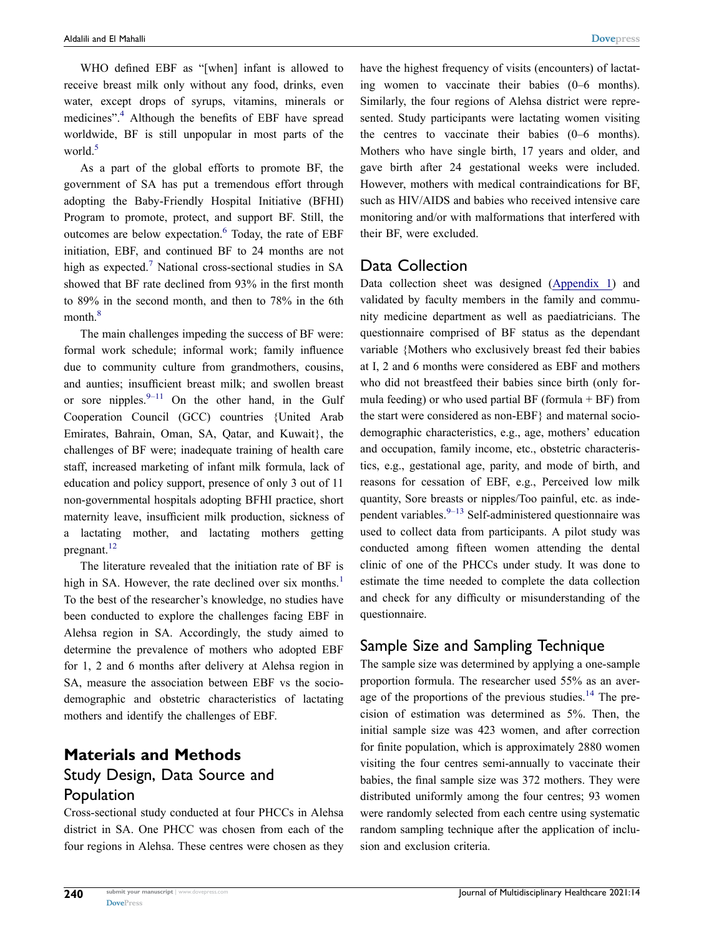WHO defined EBF as "[when] infant is allowed to receive breast milk only without any food, drinks, even water, except drops of syrups, vitamins, minerals or medicines".<sup>4</sup> Although the benefits of EBF have spread worldwide, BF is still unpopular in most parts of the world.<sup>[5](#page-6-4)</sup>

<span id="page-1-0"></span>As a part of the global efforts to promote BF, the government of SA has put a tremendous effort through adopting the Baby-Friendly Hospital Initiative (BFHI) Program to promote, protect, and support BF. Still, the outcomes are below expectation.<sup>6</sup> Today, the rate of EBF initiation, EBF, and continued BF to 24 months are not high as expected.<sup>[7](#page-6-6)</sup> National cross-sectional studies in SA showed that BF rate declined from 93% in the first month to 89% in the second month, and then to 78% in the 6th month.<sup>8</sup>

<span id="page-1-2"></span><span id="page-1-1"></span>The main challenges impeding the success of BF were: formal work schedule; informal work; family influence due to community culture from grandmothers, cousins, and aunties; insufficient breast milk; and swollen breast or sore nipples. $9-11$  On the other hand, in the Gulf Cooperation Council (GCC) countries {United Arab Emirates, Bahrain, Oman, SA, Qatar, and Kuwait}, the challenges of BF were; inadequate training of health care staff, increased marketing of infant milk formula, lack of education and policy support, presence of only 3 out of 11 non-governmental hospitals adopting BFHI practice, short maternity leave, insufficient milk production, sickness of a lactating mother, and lactating mothers getting pregnant.<sup>[12](#page-6-9)</sup>

<span id="page-1-4"></span>The literature revealed that the initiation rate of BF is high in SA. However, the rate declined over six months.<sup>1</sup> To the best of the researcher's knowledge, no studies have been conducted to explore the challenges facing EBF in Alehsa region in SA. Accordingly, the study aimed to determine the prevalence of mothers who adopted EBF for 1, 2 and 6 months after delivery at Alehsa region in SA, measure the association between EBF vs the sociodemographic and obstetric characteristics of lactating mothers and identify the challenges of EBF.

# **Materials and Methods** Study Design, Data Source and Population

Cross-sectional study conducted at four PHCCs in Alehsa district in SA. One PHCC was chosen from each of the four regions in Alehsa. These centres were chosen as they have the highest frequency of visits (encounters) of lactating women to vaccinate their babies (0–6 months). Similarly, the four regions of Alehsa district were represented. Study participants were lactating women visiting the centres to vaccinate their babies (0–6 months). Mothers who have single birth, 17 years and older, and gave birth after 24 gestational weeks were included. However, mothers with medical contraindications for BF, such as HIV/AIDS and babies who received intensive care monitoring and/or with malformations that interfered with their BF, were excluded.

#### Data Collection

Data collection sheet was designed [\(Appendix 1\)](https://www.dovepress.com/get_supplementary_file.php?f=277819.docx) and validated by faculty members in the family and community medicine department as well as paediatricians. The questionnaire comprised of BF status as the dependant variable {Mothers who exclusively breast fed their babies at I, 2 and 6 months were considered as EBF and mothers who did not breastfeed their babies since birth (only formula feeding) or who used partial BF (formula  $+$  BF) from the start were considered as non-EBF} and maternal sociodemographic characteristics, e.g., age, mothers' education and occupation, family income, etc., obstetric characteristics, e.g., gestational age, parity, and mode of birth, and reasons for cessation of EBF, e.g., Perceived low milk quantity, Sore breasts or nipples/Too painful, etc. as independent variables. $9-13$  Self-administered questionnaire was used to collect data from participants. A pilot study was conducted among fifteen women attending the dental clinic of one of the PHCCs under study. It was done to estimate the time needed to complete the data collection and check for any difficulty or misunderstanding of the questionnaire.

#### <span id="page-1-3"></span>Sample Size and Sampling Technique

<span id="page-1-5"></span>The sample size was determined by applying a one-sample proportion formula. The researcher used 55% as an average of the proportions of the previous studies.<sup>14</sup> The precision of estimation was determined as 5%. Then, the initial sample size was 423 women, and after correction for finite population, which is approximately 2880 women visiting the four centres semi-annually to vaccinate their babies, the final sample size was 372 mothers. They were distributed uniformly among the four centres; 93 women were randomly selected from each centre using systematic random sampling technique after the application of inclusion and exclusion criteria.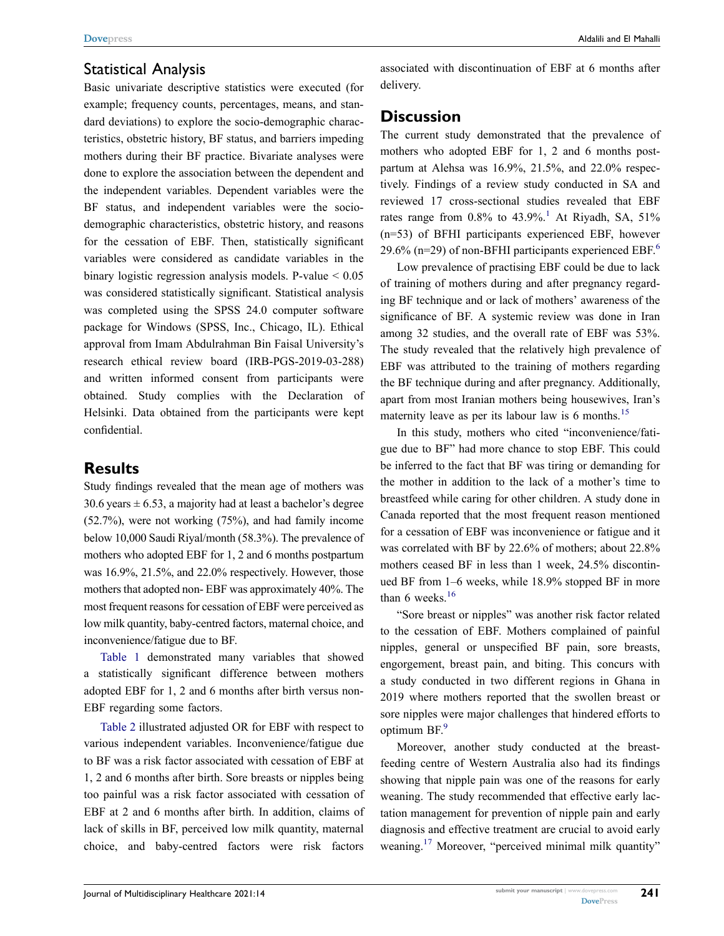#### Statistical Analysis

Basic univariate descriptive statistics were executed (for example; frequency counts, percentages, means, and standard deviations) to explore the socio-demographic characteristics, obstetric history, BF status, and barriers impeding mothers during their BF practice. Bivariate analyses were done to explore the association between the dependent and the independent variables. Dependent variables were the BF status, and independent variables were the sociodemographic characteristics, obstetric history, and reasons for the cessation of EBF. Then, statistically significant variables were considered as candidate variables in the binary logistic regression analysis models. P-value  $\leq 0.05$ was considered statistically significant. Statistical analysis was completed using the SPSS 24.0 computer software package for Windows (SPSS, Inc., Chicago, IL). Ethical approval from Imam Abdulrahman Bin Faisal University's research ethical review board (IRB-PGS-2019-03-288) and written informed consent from participants were obtained. Study complies with the Declaration of Helsinki. Data obtained from the participants were kept confidential.

#### **Results**

Study findings revealed that the mean age of mothers was 30.6 years  $\pm$  6.53, a majority had at least a bachelor's degree (52.7%), were not working (75%), and had family income below 10,000 Saudi Riyal/month (58.3%). The prevalence of mothers who adopted EBF for 1, 2 and 6 months postpartum was 16.9%, 21.5%, and 22.0% respectively. However, those mothers that adopted non- EBF was approximately 40%. The most frequent reasons for cessation of EBF were perceived as low milk quantity, baby-centred factors, maternal choice, and inconvenience/fatigue due to BF.

[Table 1](#page-3-0) demonstrated many variables that showed a statistically significant difference between mothers adopted EBF for 1, 2 and 6 months after birth versus non-EBF regarding some factors.

[Table 2](#page-5-0) illustrated adjusted OR for EBF with respect to various independent variables. Inconvenience/fatigue due to BF was a risk factor associated with cessation of EBF at 1, 2 and 6 months after birth. Sore breasts or nipples being too painful was a risk factor associated with cessation of EBF at 2 and 6 months after birth. In addition, claims of lack of skills in BF, perceived low milk quantity, maternal choice, and baby-centred factors were risk factors

associated with discontinuation of EBF at 6 months after delivery.

#### **Discussion**

The current study demonstrated that the prevalence of mothers who adopted EBF for 1, 2 and 6 months postpartum at Alehsa was 16.9%, 21.5%, and 22.0% respectively. Findings of a review study conducted in SA and reviewed 17 cross-sectional studies revealed that EBF rates range from  $0.8\%$  to  $43.9\%$ .<sup>[1](#page-6-0)</sup> At Riyadh, SA, 51% (n=53) of BFHI participants experienced EBF, however 29.[6](#page-6-5)% (n=29) of non-BFHI participants experienced EBF.<sup>6</sup>

Low prevalence of practising EBF could be due to lack of training of mothers during and after pregnancy regarding BF technique and or lack of mothers' awareness of the significance of BF. A systemic review was done in Iran among 32 studies, and the overall rate of EBF was 53%. The study revealed that the relatively high prevalence of EBF was attributed to the training of mothers regarding the BF technique during and after pregnancy. Additionally, apart from most Iranian mothers being housewives, Iran's maternity leave as per its labour law is 6 months.<sup>[15](#page-6-11)</sup>

<span id="page-2-0"></span>In this study, mothers who cited "inconvenience/fatigue due to BF" had more chance to stop EBF. This could be inferred to the fact that BF was tiring or demanding for the mother in addition to the lack of a mother's time to breastfeed while caring for other children. A study done in Canada reported that the most frequent reason mentioned for a cessation of EBF was inconvenience or fatigue and it was correlated with BF by 22.6% of mothers; about 22.8% mothers ceased BF in less than 1 week, 24.5% discontinued BF from 1–6 weeks, while 18.9% stopped BF in more than 6 weeks. $16$ 

<span id="page-2-1"></span>"Sore breast or nipples" was another risk factor related to the cessation of EBF. Mothers complained of painful nipples, general or unspecified BF pain, sore breasts, engorgement, breast pain, and biting. This concurs with a study conducted in two different regions in Ghana in 2019 where mothers reported that the swollen breast or sore nipples were major challenges that hindered efforts to optimum BF.<sup>[9](#page-6-8)</sup>

<span id="page-2-2"></span>Moreover, another study conducted at the breastfeeding centre of Western Australia also had its findings showing that nipple pain was one of the reasons for early weaning. The study recommended that effective early lactation management for prevention of nipple pain and early diagnosis and effective treatment are crucial to avoid early weaning.<sup>17</sup> Moreover, "perceived minimal milk quantity"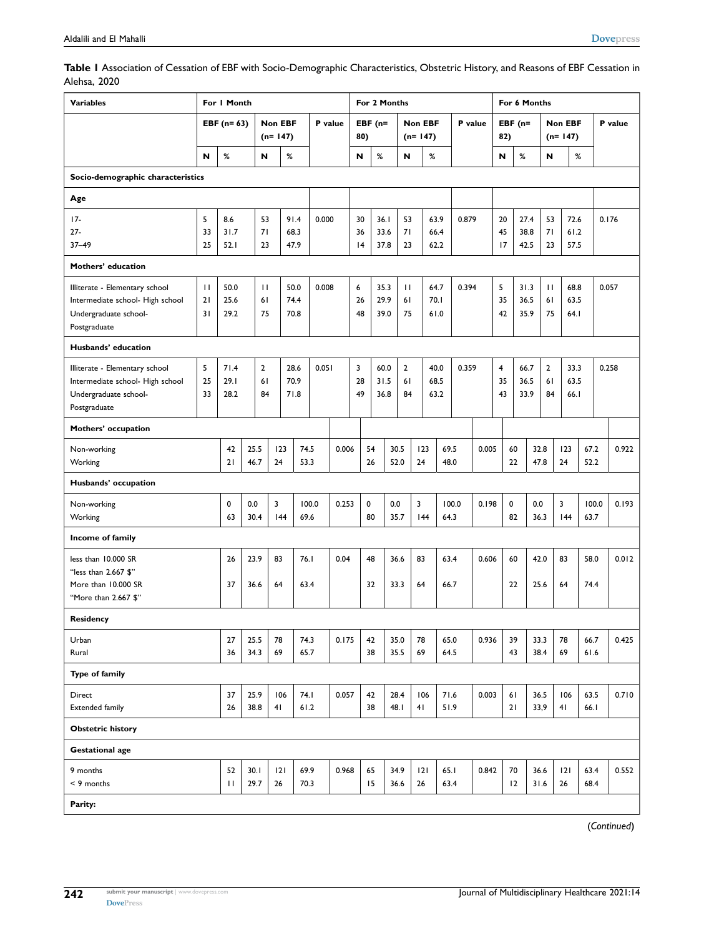<span id="page-3-0"></span>

| Table I Association of Cessation of EBF with Socio-Demographic Characteristics, Obstetric History, and Reasons of EBF Cessation in |  |
|------------------------------------------------------------------------------------------------------------------------------------|--|
| Alehsa, 2020                                                                                                                       |  |

| <b>Variables</b>                                                                                            | For I Month              |                      |                             |           |                      | For 2 Months |       |                |                   |                      |                             |                      |              | For 6 Months |                 |                |                      |                            |           |                      |               |       |
|-------------------------------------------------------------------------------------------------------------|--------------------------|----------------------|-----------------------------|-----------|----------------------|--------------|-------|----------------|-------------------|----------------------|-----------------------------|----------------------|--------------|--------------|-----------------|----------------|----------------------|----------------------------|-----------|----------------------|---------------|-------|
|                                                                                                             | EBF $(n=63)$             |                      | <b>Non EBF</b><br>$(n=147)$ |           |                      | P value      | 80)   | EBF $(n=$      |                   |                      | <b>Non EBF</b><br>$(n=147)$ |                      | P value      |              | $EBF(n=$<br>82) |                | $(n=147)$            |                            | Non EBF   |                      | P value       |       |
|                                                                                                             | N                        | $\%$                 | N                           |           | $\%$                 |              |       | N              | %                 |                      | N                           | %                    |              |              |                 | N              | %                    | N                          |           | %                    |               |       |
| Socio-demographic characteristics                                                                           |                          |                      |                             |           |                      |              |       |                |                   |                      |                             |                      |              |              |                 |                |                      |                            |           |                      |               |       |
| Age                                                                                                         |                          |                      |                             |           |                      |              |       |                |                   |                      |                             |                      |              |              |                 |                |                      |                            |           |                      |               |       |
| $17-$<br>$27 -$<br>$37 - 49$                                                                                | 5<br>33<br>25            | 8.6<br>31.7<br>52.1  | 53<br>71<br>23              |           | 91.4<br>68.3<br>47.9 | 0.000        |       | 30<br>36<br> 4 | 36.1              | 33.6<br>37.8         | 53<br>71<br>23              | 63.9<br>66.4<br>62.2 |              | 0.879        |                 | 20<br>45<br>17 | 27.4<br>38.8<br>42.5 | 53<br>71<br>23             |           | 72.6<br>61.2<br>57.5 |               | 0.176 |
|                                                                                                             |                          |                      |                             |           |                      |              |       |                |                   |                      |                             |                      |              |              |                 |                |                      |                            |           |                      |               |       |
| Mothers' education                                                                                          |                          |                      |                             |           |                      |              |       |                |                   |                      |                             |                      |              |              |                 |                |                      |                            |           |                      |               |       |
| Illiterate - Elementary school<br>Intermediate school- High school<br>Undergraduate school-<br>Postgraduate | $\mathbf{H}$<br>21<br>31 | 50.0<br>25.6<br>29.2 | $\mathbf{H}$<br>61<br>75    |           | 50.0<br>74.4<br>70.8 | 0.008        |       | 6<br>26<br>48  |                   | 35.3<br>29.9<br>39.0 | $\mathbf{H}$<br>61<br>75    | 64.7<br>70.1<br>61.0 |              | 0.394        |                 | 5<br>35<br>42  | 31.3<br>36.5<br>35.9 | $\mathbf{H}$<br>61<br>75   |           | 68.8<br>63.5<br>64.I |               | 0.057 |
| Husbands' education                                                                                         |                          |                      |                             |           |                      |              |       |                |                   |                      |                             |                      |              |              |                 |                |                      |                            |           |                      |               |       |
| Illiterate - Elementary school<br>Intermediate school- High school<br>Undergraduate school-<br>Postgraduate | 5<br>25<br>33            | 71.4<br>29.1<br>28.2 | $\mathbf{2}$<br>61<br>84    |           | 28.6<br>70.9<br>71.8 | 0.051        |       | 3<br>28<br>49  |                   | 60.0<br>31.5<br>36.8 | $\overline{2}$<br>61<br>84  | 40.0<br>68.5<br>63.2 |              | 0.359        |                 | 4<br>35<br>43  | 66.7<br>36.5<br>33.9 | $\overline{2}$<br>61<br>84 |           | 33.3<br>63.5<br>66.I |               | 0.258 |
| Mothers' occupation                                                                                         |                          |                      |                             |           |                      |              |       |                |                   |                      |                             |                      |              |              |                 |                |                      |                            |           |                      |               |       |
| Non-working<br>Working                                                                                      |                          | 42<br>21             | 25.5<br>46.7                | 123<br>24 | 74.5<br>53.3         |              | 0.006 |                | 54<br>26          | 30.5<br>52.0         |                             | 123<br>24            | 69.5<br>48.0 |              | 0.005           |                | 60<br>22             | 32.8<br>47.8               | 123<br>24 |                      | 67.2<br>52.2  | 0.922 |
| Husbands' occupation                                                                                        |                          |                      |                             |           |                      |              |       |                |                   |                      |                             |                      |              |              |                 |                |                      |                            |           |                      |               |       |
| Non-working<br>Working                                                                                      |                          | 0<br>63              | 0.0<br>30.4                 | 3<br> 44  | 69.6                 | 100.0        | 0.253 |                | $\mathbf 0$<br>80 | 0.0<br>35.7          |                             | 3<br>144             | 64.3         | 100.0        | 0.198           | 0              | 82                   | 0.0<br>36.3                | 3<br> 44  |                      | 100.0<br>63.7 | 0.193 |
| Income of family                                                                                            |                          |                      |                             |           |                      |              |       |                |                   |                      |                             |                      |              |              |                 |                |                      |                            |           |                      |               |       |
| less than 10.000 SR<br>"less than 2.667 \$"<br>More than 10.000 SR<br>"More than 2.667 \$"                  |                          | 26<br>37             | 23.9<br>36.6                | 83<br>64  | 76.1<br>63.4         |              | 0.04  |                | 48<br>32          | 36.6<br>33.3         |                             | 83<br>64             | 63.4<br>66.7 |              | 0.606           |                | 60<br>22             | 42.0<br>25.6               | 83<br>64  |                      | 58.0<br>74.4  | 0.012 |
| Residency                                                                                                   |                          |                      |                             |           |                      |              |       |                |                   |                      |                             |                      |              |              |                 |                |                      |                            |           |                      |               |       |
| Urban<br>Rural                                                                                              |                          | 27<br>36             | 25.5<br>34.3                | 78<br>69  | 74.3<br>65.7         |              | 0.175 |                | 42<br>38          | 35.0<br>35.5         |                             | 78<br>69             | 65.0<br>64.5 |              | 0.936           |                | 39<br>43             | 33.3<br>38.4               | 78<br>69  |                      | 66.7<br>61.6  | 0.425 |
| Type of family                                                                                              |                          |                      |                             |           |                      |              |       |                |                   |                      |                             |                      |              |              |                 |                |                      |                            |           |                      |               |       |
| Direct<br><b>Extended family</b>                                                                            |                          | 37<br>26             | 25.9<br>38.8                | 106<br>41 | 74. I<br>61.2        |              | 0.057 |                | 42<br>38          | 28.4<br>48.I         |                             | 106<br>41            | 71.6<br>51.9 |              | 0.003           |                | 61<br>21             | 36.5<br>33,9               | 106<br>41 |                      | 63.5<br>66.1  | 0.710 |
| <b>Obstetric history</b>                                                                                    |                          |                      |                             |           |                      |              |       |                |                   |                      |                             |                      |              |              |                 |                |                      |                            |           |                      |               |       |
| <b>Gestational age</b>                                                                                      |                          |                      |                             |           |                      |              |       |                |                   |                      |                             |                      |              |              |                 |                |                      |                            |           |                      |               |       |
| 9 months<br>< 9 months                                                                                      |                          | 52<br>$\mathbf{H}$   | 30.1<br>29.7                | 2 <br>26  | 69.9<br>70.3         |              | 0.968 |                | 65<br>15          | 34.9<br>36.6         |                             | 2 <br>26             | 65.1<br>63.4 |              | 0.842           |                | 70<br>12             | 36.6<br>31.6               | 2 <br>26  |                      | 63.4<br>68.4  | 0.552 |
| Parity:                                                                                                     |                          |                      |                             |           |                      |              |       |                |                   |                      |                             |                      |              |              |                 |                |                      |                            |           |                      |               |       |

(*Continued*)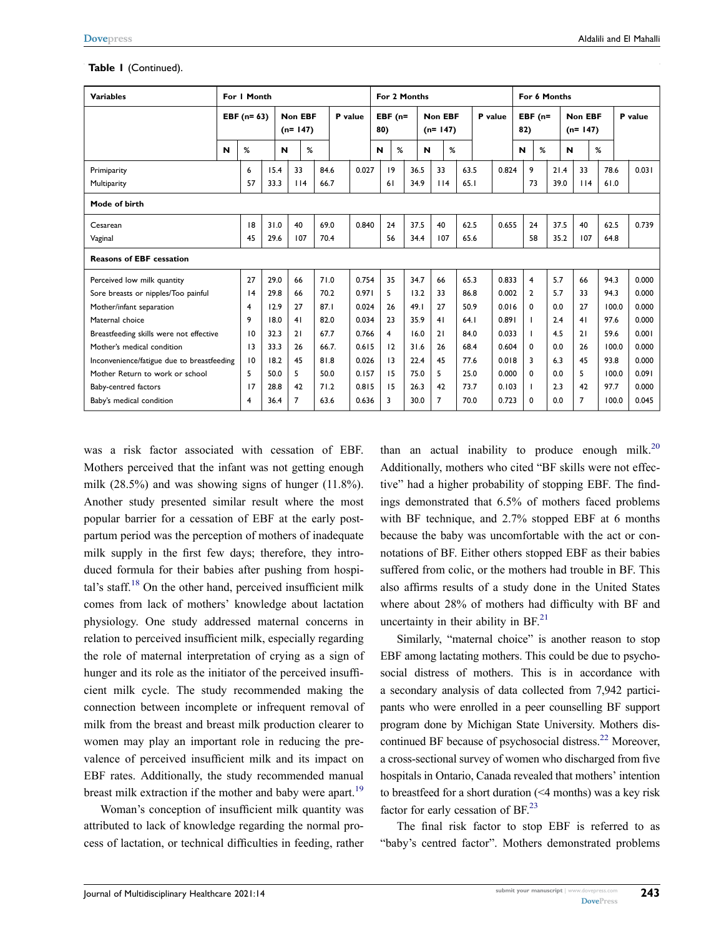#### **Table 1** (Continued).

| <b>Variables</b>                           | For I Month |                 |      |                      |     |       |         | For 2 Months |                  |   |                      |                |      |         | For 6 Months |                  |    |      |                      |       |         |  |
|--------------------------------------------|-------------|-----------------|------|----------------------|-----|-------|---------|--------------|------------------|---|----------------------|----------------|------|---------|--------------|------------------|----|------|----------------------|-------|---------|--|
|                                            |             | EBF (n= 63)     |      | Non EBF<br>$(n=147)$ |     |       | P value |              | EBF $(n=$<br>80) |   | Non EBF<br>$(n=147)$ |                |      | P value |              | EBF $(n=$<br>82) |    |      | Non EBF<br>$(n=147)$ |       | P value |  |
|                                            | N           | %               |      | N                    | %   |       |         | N            |                  | % | N                    | %              |      |         |              | N                | %  | N    |                      | %     |         |  |
| Primiparity                                |             | 6               | 15.4 |                      | 33  | 84.6  |         | 0.027        | 19               |   | 36.5                 | 33             | 63.5 |         | 0.824        | 9                |    | 21.4 | 33                   | 78.6  | 0.031   |  |
| Multiparity                                |             | 57              | 33.3 |                      | 114 | 66.7  |         |              | 61               |   | 34.9                 | 114            | 65.1 |         |              |                  | 73 | 39.0 | $ $  4               | 61.0  |         |  |
| Mode of birth                              |             |                 |      |                      |     |       |         |              |                  |   |                      |                |      |         |              |                  |    |      |                      |       |         |  |
| Cesarean                                   |             | 8               | 31.0 |                      | 40  | 69.0  |         | 0.840        | 24               |   | 37.5                 | 40             | 62.5 |         | 0.655        |                  | 24 | 37.5 | 40                   | 62.5  | 0.739   |  |
| Vaginal                                    |             | 45              | 29.6 |                      | 107 | 70.4  |         |              | 56               |   | 34.4                 | 107            | 65.6 |         |              |                  | 58 | 35.2 | 107                  | 64.8  |         |  |
| <b>Reasons of EBF cessation</b>            |             |                 |      |                      |     |       |         |              |                  |   |                      |                |      |         |              |                  |    |      |                      |       |         |  |
| Perceived low milk quantity                |             | 27              | 29.0 |                      | 66  | 71.0  |         | 0.754        | 35               |   | 34.7                 | 66             | 65.3 |         | 0.833        | $\overline{4}$   |    | 5.7  | 66                   | 94.3  | 0.000   |  |
| Sore breasts or nipples/Too painful        |             | 4               | 29.8 |                      | 66  | 70.2  |         | 0.971        | 5                |   | 13.2                 | 33             | 86.8 |         | 0.002        | $\overline{2}$   |    | 5.7  | 33                   | 94.3  | 0.000   |  |
| Mother/infant separation                   |             | $\overline{4}$  | 12.9 |                      | 27  | 87.1  |         | 0.024        | 26               |   | 49.1                 | 27             | 50.9 |         | 0.016        | 0                |    | 0.0  | 27                   | 100.0 | 0.000   |  |
| Maternal choice                            |             | 9               | 18.0 |                      | 41  | 82.0  |         | 0.034        | 23               |   | 35.9                 | 41             | 64.1 |         | 0.891        | т                |    | 2.4  | 41                   | 97.6  | 0.000   |  |
| Breastfeeding skills were not effective    |             | 10              | 32.3 |                      | 21  | 67.7  |         | 0.766        | 4                |   | 16.0                 | 21             | 84.0 |         | 0.033        | T                |    | 4.5  | 21                   | 59.6  | 0.001   |  |
| Mother's medical condition                 |             | $\overline{13}$ | 33.3 |                      | 26  | 66.7. |         | 0.615        | 12               |   | 31.6                 | 26             | 68.4 |         | 0.604        | 0                |    | 0.0  | 26                   | 100.0 | 0.000   |  |
| Inconvenience/fatigue due to breastfeeding |             | 10              | 18.2 |                      | 45  | 81.8  |         | 0.026        | 13               |   | 22.4                 | 45             | 77.6 |         | 0.018        | 3                |    | 6.3  | 45                   | 93.8  | 0.000   |  |
| Mother Return to work or school            |             | 5               | 50.0 |                      | 5.  | 50.0  |         | 0.157        | 15               |   | 75.0                 | 5.             | 25.0 |         | 0.000        | $\mathbf{0}$     |    | 0.0  | 5.                   | 100.0 | 0.091   |  |
| Baby-centred factors                       |             | 17              | 28.8 |                      | 42  | 71.2  |         | 0.815        | 15               |   | 26.3                 | 42             | 73.7 |         | 0.103        | $\mathbf{I}$     |    | 2.3  | 42                   | 97.7  | 0.000   |  |
| Baby's medical condition                   |             | 4               | 36.4 |                      | 7   | 63.6  |         | 0.636        | 3                |   | 30.0                 | $\overline{7}$ | 70.0 |         | 0.723        | 0                |    | 0.0  | $\overline{7}$       | 100.0 | 0.045   |  |

<span id="page-4-0"></span>was a risk factor associated with cessation of EBF. Mothers perceived that the infant was not getting enough milk (28.5%) and was showing signs of hunger (11.8%). Another study presented similar result where the most popular barrier for a cessation of EBF at the early postpartum period was the perception of mothers of inadequate milk supply in the first few days; therefore, they introduced formula for their babies after pushing from hospital's staff. $18$  On the other hand, perceived insufficient milk comes from lack of mothers' knowledge about lactation physiology. One study addressed maternal concerns in relation to perceived insufficient milk, especially regarding the role of maternal interpretation of crying as a sign of hunger and its role as the initiator of the perceived insufficient milk cycle. The study recommended making the connection between incomplete or infrequent removal of milk from the breast and breast milk production clearer to women may play an important role in reducing the prevalence of perceived insufficient milk and its impact on EBF rates. Additionally, the study recommended manual breast milk extraction if the mother and baby were apart.<sup>19</sup>

<span id="page-4-1"></span>Woman's conception of insufficient milk quantity was attributed to lack of knowledge regarding the normal process of lactation, or technical difficulties in feeding, rather <span id="page-4-2"></span>than an actual inability to produce enough milk.<sup>[20](#page-7-3)</sup> Additionally, mothers who cited "BF skills were not effective" had a higher probability of stopping EBF. The findings demonstrated that 6.5% of mothers faced problems with BF technique, and 2.7% stopped EBF at 6 months because the baby was uncomfortable with the act or connotations of BF. Either others stopped EBF as their babies suffered from colic, or the mothers had trouble in BF. This also affirms results of a study done in the United States where about 28% of mothers had difficulty with BF and uncertainty in their ability in  $BF<sup>21</sup>$  $BF<sup>21</sup>$  $BF<sup>21</sup>$ .

<span id="page-4-3"></span>Similarly, "maternal choice" is another reason to stop EBF among lactating mothers. This could be due to psychosocial distress of mothers. This is in accordance with a secondary analysis of data collected from 7,942 participants who were enrolled in a peer counselling BF support program done by Michigan State University. Mothers discontinued BF because of psychosocial distress.<sup>22</sup> Moreover, a cross-sectional survey of women who discharged from five hospitals in Ontario, Canada revealed that mothers' intention to breastfeed for a short duration (<4 months) was a key risk factor for early cessation of BF.<sup>[23](#page-7-6)</sup>

<span id="page-4-5"></span><span id="page-4-4"></span>The final risk factor to stop EBF is referred to as "baby's centred factor". Mothers demonstrated problems

**243**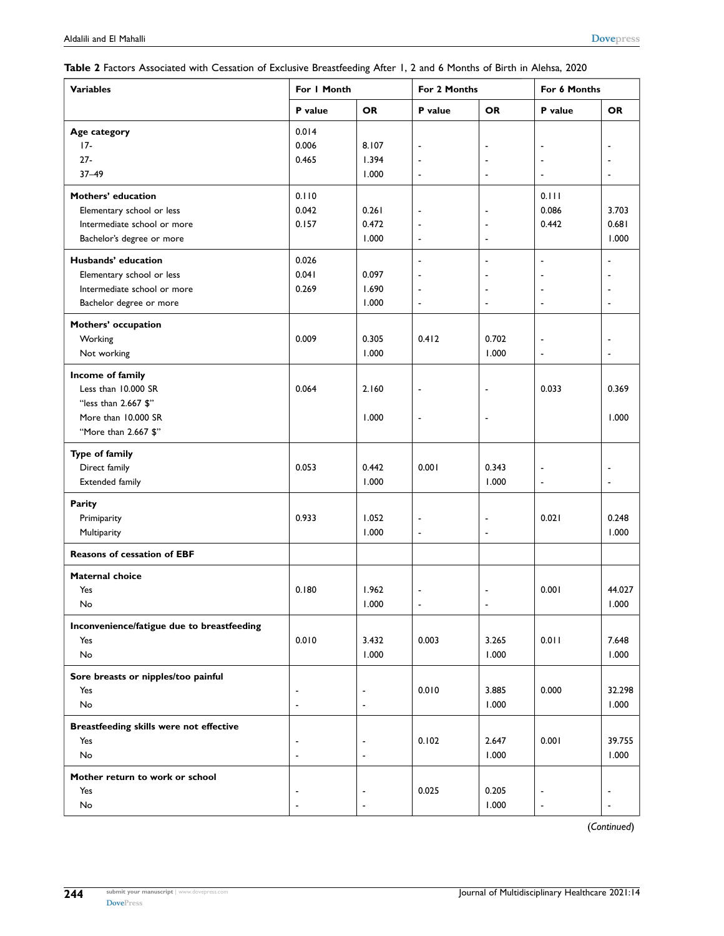<span id="page-5-0"></span>

| Table 2 Factors Associated with Cessation of Exclusive Breastfeeding After 1, 2 and 6 Months of Birth in Alehsa, 2020 |  |  |  |  |
|-----------------------------------------------------------------------------------------------------------------------|--|--|--|--|
|-----------------------------------------------------------------------------------------------------------------------|--|--|--|--|

| <b>Variables</b>                           | For I Month              |           | For 2 Months             |                          | For 6 Months   |                          |  |  |
|--------------------------------------------|--------------------------|-----------|--------------------------|--------------------------|----------------|--------------------------|--|--|
|                                            | P value                  | <b>OR</b> | P value                  | <b>OR</b>                | P value        | <b>OR</b>                |  |  |
| Age category                               | 0.014                    |           |                          |                          |                |                          |  |  |
| $17-$                                      | 0.006                    | 8.107     | $\overline{\phantom{a}}$ |                          |                |                          |  |  |
| $27 -$                                     | 0.465                    | 1.394     | $\overline{\phantom{a}}$ |                          |                | $\overline{\phantom{a}}$ |  |  |
| $37 - 49$                                  |                          | 1.000     | $\blacksquare$           | $\overline{\phantom{a}}$ | ÷,             | $\blacksquare$           |  |  |
| <b>Mothers' education</b>                  | 0.110                    |           |                          |                          | 0.111          |                          |  |  |
| Elementary school or less                  | 0.042                    | 0.261     | $\overline{\phantom{a}}$ |                          | 0.086          | 3.703                    |  |  |
| Intermediate school or more                | 0.157                    | 0.472     | $\overline{\phantom{a}}$ |                          | 0.442          | 0.681                    |  |  |
| Bachelor's degree or more                  |                          | 1.000     | $\overline{\phantom{a}}$ | $\blacksquare$           |                | 1.000                    |  |  |
| Husbands' education                        | 0.026                    |           | $\overline{\phantom{a}}$ | $\overline{\phantom{a}}$ | ٠              | $\overline{\phantom{a}}$ |  |  |
| Elementary school or less                  | 0.041                    | 0.097     | $\blacksquare$           |                          |                | $\overline{\phantom{a}}$ |  |  |
| Intermediate school or more                | 0.269                    | 1.690     | $\overline{\phantom{a}}$ |                          |                | $\overline{\phantom{a}}$ |  |  |
| Bachelor degree or more                    |                          | 1.000     | $\blacksquare$           | $\blacksquare$           | $\blacksquare$ | $\overline{\phantom{a}}$ |  |  |
| Mothers' occupation                        |                          |           |                          |                          |                |                          |  |  |
| Working                                    | 0.009                    | 0.305     | 0.412                    | 0.702                    |                | $\overline{\phantom{a}}$ |  |  |
| Not working                                |                          | 1.000     |                          | 1.000                    | ÷,             | $\overline{\phantom{a}}$ |  |  |
| Income of family                           |                          |           |                          |                          |                |                          |  |  |
| Less than 10.000 SR                        | 0.064                    | 2.160     | $\overline{a}$           | $\overline{a}$           | 0.033          | 0.369                    |  |  |
| "less than 2.667 \$"                       |                          |           |                          |                          |                |                          |  |  |
| More than 10.000 SR                        |                          | 1.000     | $\overline{\phantom{a}}$ | $\blacksquare$           |                | 1.000                    |  |  |
| "More than 2.667 \$"                       |                          |           |                          |                          |                |                          |  |  |
|                                            |                          |           |                          |                          |                |                          |  |  |
| Type of family                             |                          |           |                          |                          |                |                          |  |  |
| Direct family                              | 0.053                    | 0.442     | 0.001                    | 0.343                    |                | $\overline{\phantom{a}}$ |  |  |
| Extended family                            |                          | 1.000     |                          | 1.000                    | ÷,             | $\blacksquare$           |  |  |
| Parity                                     |                          |           |                          |                          |                |                          |  |  |
| Primiparity                                | 0.933                    | 1.052     | $\overline{a}$           | $\overline{\phantom{a}}$ | 0.021          | 0.248                    |  |  |
| Multiparity                                |                          | 1.000     | $\overline{\phantom{a}}$ | $\overline{\phantom{a}}$ |                | 1.000                    |  |  |
| Reasons of cessation of EBF                |                          |           |                          |                          |                |                          |  |  |
| <b>Maternal choice</b>                     |                          |           |                          |                          |                |                          |  |  |
| Yes                                        | 0.180                    | 1.962     | ٠                        | $\overline{\phantom{a}}$ | 0.001          | 44.027                   |  |  |
| No                                         |                          | 1.000     |                          |                          |                | 1.000                    |  |  |
| Inconvenience/fatigue due to breastfeeding |                          |           |                          |                          |                |                          |  |  |
| Yes                                        | 0.010                    | 3.432     | 0.003                    | 3.265                    | 0.011          | 7.648                    |  |  |
| No                                         |                          | 1.000     |                          | 1.000                    |                | 1.000                    |  |  |
| Sore breasts or nipples/too painful        |                          |           |                          |                          |                |                          |  |  |
| Yes                                        | $\blacksquare$           |           | 0.010                    | 3.885                    | 0.000          | 32.298                   |  |  |
| No                                         | $\blacksquare$           | ÷,        |                          | 1.000                    |                | 1.000                    |  |  |
| Breastfeeding skills were not effective    |                          |           |                          |                          |                |                          |  |  |
| Yes                                        | $\overline{\phantom{a}}$ |           | 0.102                    | 2.647                    | 0.001          | 39.755                   |  |  |
| No                                         | $\blacksquare$           | ٠         |                          | 1.000                    |                | 1.000                    |  |  |
| Mother return to work or school            |                          |           |                          |                          |                |                          |  |  |
| Yes                                        |                          |           | 0.025                    | 0.205                    |                |                          |  |  |
| No                                         |                          |           |                          | 1.000                    | ÷,             | $\blacksquare$           |  |  |

(*Continued*)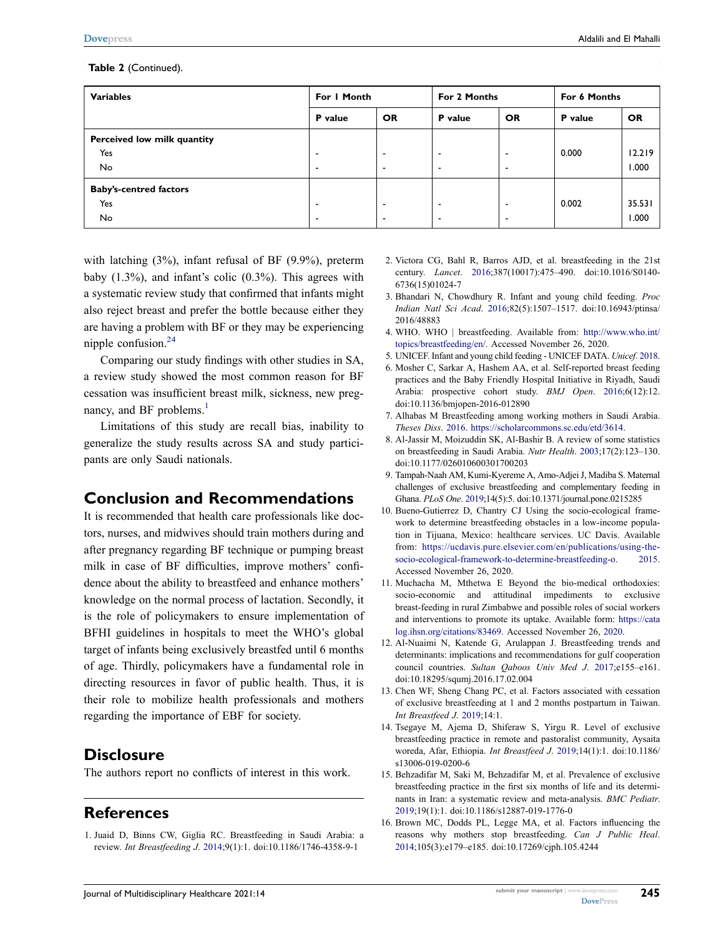#### **Table 2** (Continued).

| <b>Variables</b>                                  | For I Month                                          |                                                      | For 2 Months             |                               | For 6 Months |                 |  |
|---------------------------------------------------|------------------------------------------------------|------------------------------------------------------|--------------------------|-------------------------------|--------------|-----------------|--|
|                                                   | P value                                              | <b>OR</b>                                            | P value                  | <b>OR</b>                     | P value      | <b>OR</b>       |  |
| Perceived low milk quantity<br>Yes<br><b>No</b>   | $\overline{\phantom{a}}$<br>$\overline{\phantom{a}}$ | $\overline{\phantom{0}}$<br>$\overline{\phantom{a}}$ |                          | -<br>$\overline{\phantom{a}}$ | 0.000        | 12.219<br>1.000 |  |
| <b>Baby's-centred factors</b><br>Yes<br><b>No</b> | $\overline{\phantom{a}}$<br>$\overline{\phantom{a}}$ | $\overline{\phantom{0}}$<br>$\overline{\phantom{a}}$ | $\overline{\phantom{a}}$ | -<br>$\overline{\phantom{a}}$ | 0.002        | 35.531<br>1.000 |  |

with latching (3%), infant refusal of BF (9.9%), preterm baby (1.3%), and infant's colic (0.3%). This agrees with a systematic review study that confirmed that infants might also reject breast and prefer the bottle because either they are having a problem with BF or they may be experiencing nipple confusion.[24](#page-7-7)

<span id="page-6-13"></span>Comparing our study findings with other studies in SA, a review study showed the most common reason for BF cessation was insufficient breast milk, sickness, new pregnancy, and BF problems.<sup>1</sup>

Limitations of this study are recall bias, inability to generalize the study results across SA and study participants are only Saudi nationals.

# **Conclusion and Recommendations**

It is recommended that health care professionals like doctors, nurses, and midwives should train mothers during and after pregnancy regarding BF technique or pumping breast milk in case of BF difficulties, improve mothers' confidence about the ability to breastfeed and enhance mothers' knowledge on the normal process of lactation. Secondly, it is the role of policymakers to ensure implementation of BFHI guidelines in hospitals to meet the WHO's global target of infants being exclusively breastfed until 6 months of age. Thirdly, policymakers have a fundamental role in directing resources in favor of public health. Thus, it is their role to mobilize health professionals and mothers regarding the importance of EBF for society.

### **Disclosure**

The authors report no conflicts of interest in this work.

# **References**

<span id="page-6-0"></span>1. Juaid D, Binns CW, Giglia RC. Breastfeeding in Saudi Arabia: a review. *Int Breastfeeding J*. [2014](#page-0-2);9(1):1. doi:[10.1186/1746-4358-9-1](https://doi.org/10.1186/1746-4358-9-1)

- <span id="page-6-1"></span>2. Victora CG, Bahl R, Barros AJD, et al. breastfeeding in the 21st century. *Lancet*. [2016](#page-0-3);387(10017):475–490. doi:[10.1016/S0140-](https://doi.org/10.1016/S0140-6736(15)01024-7) [6736\(15\)01024-7](https://doi.org/10.1016/S0140-6736(15)01024-7)
- <span id="page-6-2"></span>3. Bhandari N, Chowdhury R. Infant and young child feeding. *Proc Indian Natl Sci Acad*. [2016;](#page-0-4)82(5):1507–1517. doi:[10.16943/ptinsa/](https://doi.org/10.16943/ptinsa/2016/48883) [2016/48883](https://doi.org/10.16943/ptinsa/2016/48883)
- <span id="page-6-3"></span>4. WHO. WHO | breastfeeding. Available from: [http://www.who.int/](http://www.who.int/topics/breastfeeding/en/) [topics/breastfeeding/en/.](http://www.who.int/topics/breastfeeding/en/) Accessed November 26, 2020.
- <span id="page-6-4"></span>5. UNICEF. Infant and young child feeding - UNICEF DATA. *Unicef*. [2018](#page-0-5).
- <span id="page-6-5"></span>6. Mosher C, Sarkar A, Hashem AA, et al. Self-reported breast feeding practices and the Baby Friendly Hospital Initiative in Riyadh, Saudi Arabia: prospective cohort study. *BMJ Open*. [2016;](#page-1-0)6(12):12. doi:[10.1136/bmjopen-2016-012890](https://doi.org/10.1136/bmjopen-2016-012890)
- <span id="page-6-6"></span>7. Alhabas M Breastfeeding among working mothers in Saudi Arabia. *Theses Diss*. [2016.](#page-1-1) <https://scholarcommons.sc.edu/etd/3614>.
- <span id="page-6-7"></span>8. Al-Jassir M, Moizuddin SK, Al-Bashir B. A review of some statistics on breastfeeding in Saudi Arabia. *Nutr Health*. [2003;](#page-1-2)17(2):123–130. doi:[10.1177/026010600301700203](https://doi.org/10.1177/026010600301700203)
- <span id="page-6-8"></span>9. Tampah-Naah AM, Kumi-Kyereme A, Amo-Adjei J, Madiba S. Maternal challenges of exclusive breastfeeding and complementary feeding in Ghana. *PLoS One*. [2019](#page-1-3);14(5):5. doi:[10.1371/journal.pone.0215285](https://doi.org/10.1371/journal.pone.0215285)
- 10. Bueno-Gutierrez D, Chantry CJ Using the socio-ecological framework to determine breastfeeding obstacles in a low-income population in Tijuana, Mexico: healthcare services. UC Davis. Available from: [https://ucdavis.pure.elsevier.com/en/publications/using-the](https://ucdavis.pure.elsevier.com/en/publications/using-the-socio-ecological-framework-to-determine-breastfeeding-o)[socio-ecological-framework-to-determine-breastfeeding-o.](https://ucdavis.pure.elsevier.com/en/publications/using-the-socio-ecological-framework-to-determine-breastfeeding-o) 2015. Accessed November 26, 2020.
- 11. Muchacha M, Mthetwa E Beyond the bio-medical orthodoxies: socio-economic and attitudinal impediments to exclusive breast-feeding in rural Zimbabwe and possible roles of social workers and interventions to promote its uptake. Available form: [https://cata](https://catalog.ihsn.org/citations/83469) [log.ihsn.org/citations/83469](https://catalog.ihsn.org/citations/83469). Accessed November 26, 2020.
- <span id="page-6-9"></span>12. Al-Nuaimi N, Katende G, Arulappan J. Breastfeeding trends and determinants: implications and recommendations for gulf cooperation council countries. *Sultan Qaboos Univ Med J*. [2017](#page-1-4);e155–e161. doi:[10.18295/squmj.2016.17.02.004](https://doi.org/10.18295/squmj.2016.17.02.004)
- 13. Chen WF, Sheng Chang PC, et al. Factors associated with cessation of exclusive breastfeeding at 1 and 2 months postpartum in Taiwan. *Int Breastfeed J*. 2019;14:1.
- <span id="page-6-10"></span>14. Tsegaye M, Ajema D, Shiferaw S, Yirgu R. Level of exclusive breastfeeding practice in remote and pastoralist community, Aysaita woreda, Afar, Ethiopia. *Int Breastfeed J*. [2019](#page-1-5);14(1):1. doi:[10.1186/](https://doi.org/10.1186/s13006-019-0200-6) [s13006-019-0200-6](https://doi.org/10.1186/s13006-019-0200-6)
- <span id="page-6-11"></span>15. Behzadifar M, Saki M, Behzadifar M, et al. Prevalence of exclusive breastfeeding practice in the first six months of life and its determinants in Iran: a systematic review and meta-analysis. *BMC Pediatr*. [2019](#page-2-0);19(1):1. doi:[10.1186/s12887-019-1776-0](https://doi.org/10.1186/s12887-019-1776-0)
- <span id="page-6-12"></span>16. Brown MC, Dodds PL, Legge MA, et al. Factors influencing the reasons why mothers stop breastfeeding. *Can J Public Heal*. [2014](#page-2-1);105(3):e179–e185. doi:[10.17269/cjph.105.4244](https://doi.org/10.17269/cjph.105.4244)